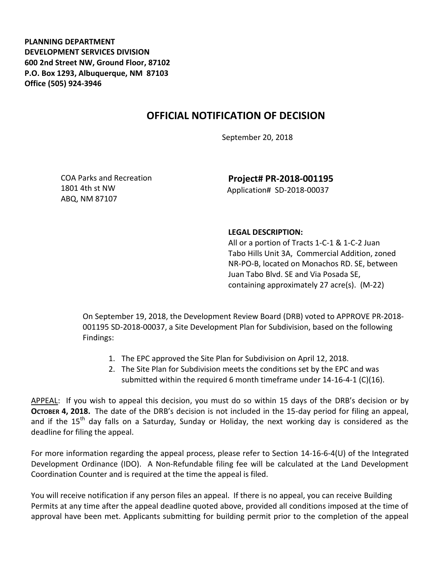**PLANNING DEPARTMENT DEVELOPMENT SERVICES DIVISION 600 2nd Street NW, Ground Floor, 87102 P.O. Box 1293, Albuquerque, NM 87103 Office (505) 924-3946** 

## **OFFICIAL NOTIFICATION OF DECISION**

September 20, 2018

COA Parks and Recreation 1801 4th st NW ABQ, NM 87107

**Project# PR-2018-001195** Application# SD-2018-00037

## **LEGAL DESCRIPTION:**

All or a portion of Tracts 1-C-1 & 1-C-2 Juan Tabo Hills Unit 3A, Commercial Addition, zoned NR-PO-B, located on Monachos RD. SE, between Juan Tabo Blvd. SE and Via Posada SE, containing approximately 27 acre(s). (M-22)

On September 19, 2018, the Development Review Board (DRB) voted to APPROVE PR-2018- 001195 SD-2018-00037, a Site Development Plan for Subdivision, based on the following Findings:

- 1. The EPC approved the Site Plan for Subdivision on April 12, 2018.
- 2. The Site Plan for Subdivision meets the conditions set by the EPC and was submitted within the required 6 month timeframe under 14-16-4-1 (C)(16).

APPEAL: If you wish to appeal this decision, you must do so within 15 days of the DRB's decision or by **OCTOBER 4, 2018.** The date of the DRB's decision is not included in the 15-day period for filing an appeal, and if the 15<sup>th</sup> day falls on a Saturday, Sunday or Holiday, the next working day is considered as the deadline for filing the appeal.

For more information regarding the appeal process, please refer to Section 14-16-6-4(U) of the Integrated Development Ordinance (IDO). A Non-Refundable filing fee will be calculated at the Land Development Coordination Counter and is required at the time the appeal is filed.

You will receive notification if any person files an appeal. If there is no appeal, you can receive Building Permits at any time after the appeal deadline quoted above, provided all conditions imposed at the time of approval have been met. Applicants submitting for building permit prior to the completion of the appeal